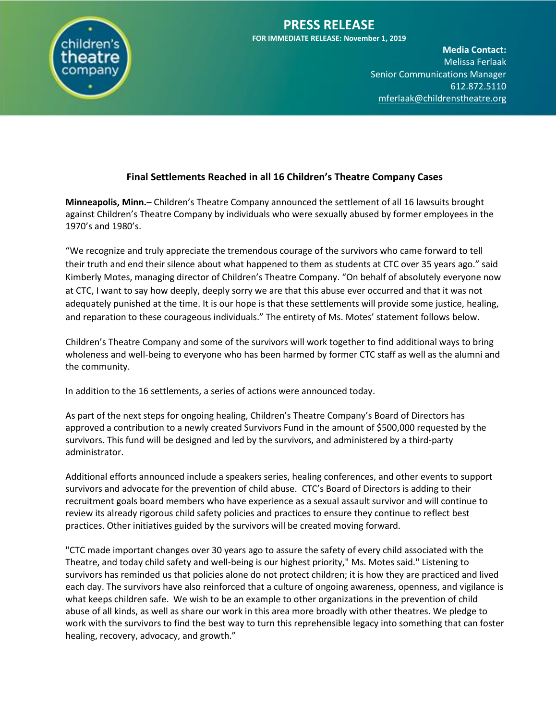

## **PRESS RELEASE FOR IMMEDIATE RELEASE: November 1, 2019**

**Media Contact:**  Melissa Ferlaak **Senior Communications Manager** 612.872.5110 [mferlaak@childrenstheatre.org](mailto:mferlaak@childrenstheatre.org)

# **Final Settlements Reached in all 16 Children's Theatre Company Cases**

**Minneapolis, Minn.**– Children's Theatre Company announced the settlement of all 16 lawsuits brought against Children's Theatre Company by individuals who were sexually abused by former employees in the 1970's and 1980's.

"We recognize and truly appreciate the tremendous courage of the survivors who came forward to tell their truth and end their silence about what happened to them as students at CTC over 35 years ago." said Kimberly Motes, managing director of Children's Theatre Company. "On behalf of absolutely everyone now at CTC, I want to say how deeply, deeply sorry we are that this abuse ever occurred and that it was not adequately punished at the time. It is our hope is that these settlements will provide some justice, healing, and reparation to these courageous individuals." The entirety of Ms. Motes' statement follows below.

Children's Theatre Company and some of the survivors will work together to find additional ways to bring wholeness and well-being to everyone who has been harmed by former CTC staff as well as the alumni and the community.

In addition to the 16 settlements, a series of actions were announced today.

As part of the next steps for ongoing healing, Children's Theatre Company's Board of Directors has approved a contribution to a newly created Survivors Fund in the amount of \$500,000 requested by the survivors. This fund will be designed and led by the survivors, and administered by a third-party administrator.

Additional efforts announced include a speakers series, healing conferences, and other events to support survivors and advocate for the prevention of child abuse. CTC's Board of Directors is adding to their recruitment goals board members who have experience as a sexual assault survivor and will continue to review its already rigorous child safety policies and practices to ensure they continue to reflect best practices. Other initiatives guided by the survivors will be created moving forward.

"CTC made important changes over 30 years ago to assure the safety of every child associated with the Theatre, and today child safety and well-being is our highest priority," Ms. Motes said." Listening to survivors has reminded us that policies alone do not protect children; it is how they are practiced and lived each day. The survivors have also reinforced that a culture of ongoing awareness, openness, and vigilance is what keeps children safe. We wish to be an example to other organizations in the prevention of child abuse of all kinds, as well as share our work in this area more broadly with other theatres. We pledge to work with the survivors to find the best way to turn this reprehensible legacy into something that can foster healing, recovery, advocacy, and growth."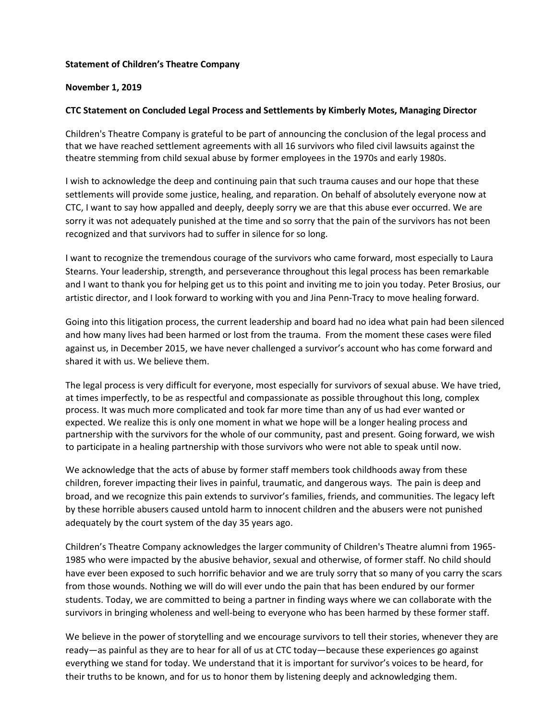### **Statement of Children's Theatre Company**

#### **November 1, 2019**

### **CTC Statement on Concluded Legal Process and Settlements by Kimberly Motes, Managing Director**

Children's Theatre Company is grateful to be part of announcing the conclusion of the legal process and that we have reached settlement agreements with all 16 survivors who filed civil lawsuits against the theatre stemming from child sexual abuse by former employees in the 1970s and early 1980s.

I wish to acknowledge the deep and continuing pain that such trauma causes and our hope that these settlements will provide some justice, healing, and reparation. On behalf of absolutely everyone now at CTC, I want to say how appalled and deeply, deeply sorry we are that this abuse ever occurred. We are sorry it was not adequately punished at the time and so sorry that the pain of the survivors has not been recognized and that survivors had to suffer in silence for so long.

I want to recognize the tremendous courage of the survivors who came forward, most especially to Laura Stearns. Your leadership, strength, and perseverance throughout this legal process has been remarkable and I want to thank you for helping get us to this point and inviting me to join you today. Peter Brosius, our artistic director, and I look forward to working with you and Jina Penn-Tracy to move healing forward.

Going into this litigation process, the current leadership and board had no idea what pain had been silenced and how many lives had been harmed or lost from the trauma. From the moment these cases were filed against us, in December 2015, we have never challenged a survivor's account who has come forward and shared it with us. We believe them.

The legal process is very difficult for everyone, most especially for survivors of sexual abuse. We have tried, at times imperfectly, to be as respectful and compassionate as possible throughout this long, complex process. It was much more complicated and took far more time than any of us had ever wanted or expected. We realize this is only one moment in what we hope will be a longer healing process and partnership with the survivors for the whole of our community, past and present. Going forward, we wish to participate in a healing partnership with those survivors who were not able to speak until now.

We acknowledge that the acts of abuse by former staff members took childhoods away from these children, forever impacting their lives in painful, traumatic, and dangerous ways. The pain is deep and broad, and we recognize this pain extends to survivor's families, friends, and communities. The legacy left by these horrible abusers caused untold harm to innocent children and the abusers were not punished adequately by the court system of the day 35 years ago.

Children's Theatre Company acknowledges the larger community of Children's Theatre alumni from 1965- 1985 who were impacted by the abusive behavior, sexual and otherwise, of former staff. No child should have ever been exposed to such horrific behavior and we are truly sorry that so many of you carry the scars from those wounds. Nothing we will do will ever undo the pain that has been endured by our former students. Today, we are committed to being a partner in finding ways where we can collaborate with the survivors in bringing wholeness and well-being to everyone who has been harmed by these former staff.

We believe in the power of storytelling and we encourage survivors to tell their stories, whenever they are ready—as painful as they are to hear for all of us at CTC today—because these experiences go against everything we stand for today. We understand that it is important for survivor's voices to be heard, for their truths to be known, and for us to honor them by listening deeply and acknowledging them.